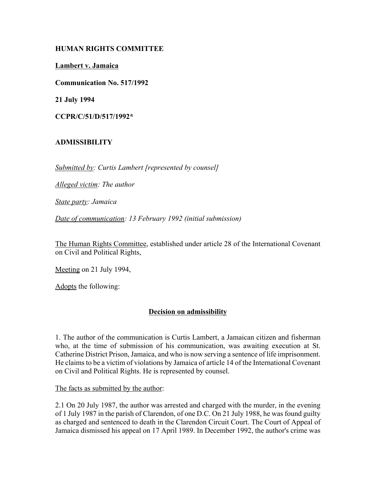# **HUMAN RIGHTS COMMITTEE**

**Lambert v. Jamaica**

**Communication No. 517/1992**

**21 July 1994**

**CCPR/C/51/D/517/1992\***

# **ADMISSIBILITY**

*Submitted by: Curtis Lambert [represented by counsel]*

*Alleged victim: The author*

*State party: Jamaica*

*Date of communication: 13 February 1992 (initial submission)*

The Human Rights Committee, established under article 28 of the International Covenant on Civil and Political Rights,

Meeting on 21 July 1994,

Adopts the following:

# **Decision on admissibility**

1. The author of the communication is Curtis Lambert, a Jamaican citizen and fisherman who, at the time of submission of his communication, was awaiting execution at St. Catherine District Prison, Jamaica, and who is now serving a sentence of life imprisonment. He claims to be a victim of violations by Jamaica of article 14 of the International Covenant on Civil and Political Rights. He is represented by counsel.

The facts as submitted by the author:

2.1 On 20 July 1987, the author was arrested and charged with the murder, in the evening of 1 July 1987 in the parish of Clarendon, of one D.C. On 21 July 1988, he was found guilty as charged and sentenced to death in the Clarendon Circuit Court. The Court of Appeal of Jamaica dismissed his appeal on 17 April 1989. In December 1992, the author's crime was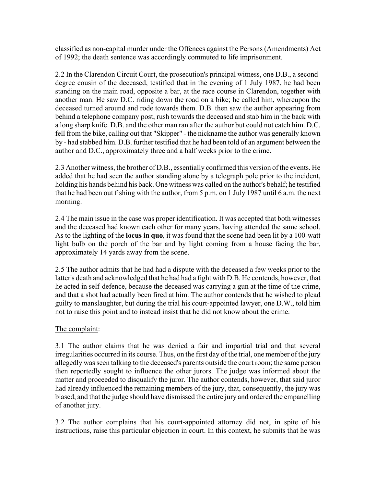classified as non-capital murder under the Offences against the Persons (Amendments) Act of 1992; the death sentence was accordingly commuted to life imprisonment.

2.2 In the Clarendon Circuit Court, the prosecution's principal witness, one D.B., a seconddegree cousin of the deceased, testified that in the evening of 1 July 1987, he had been standing on the main road, opposite a bar, at the race course in Clarendon, together with another man. He saw D.C. riding down the road on a bike; he called him, whereupon the deceased turned around and rode towards them. D.B. then saw the author appearing from behind a telephone company post, rush towards the deceased and stab him in the back with a long sharp knife. D.B. and the other man ran after the author but could not catch him. D.C. fell from the bike, calling out that "Skipper" - the nickname the author was generally known by - had stabbed him. D.B. further testified that he had been told of an argument between the author and D.C., approximately three and a half weeks prior to the crime.

2.3 Another witness, the brother of D.B., essentially confirmed this version of the events. He added that he had seen the author standing alone by a telegraph pole prior to the incident, holding his hands behind his back. One witness was called on the author's behalf; he testified that he had been out fishing with the author, from 5 p.m. on 1 July 1987 until 6 a.m. the next morning.

2.4 The main issue in the case was proper identification. It was accepted that both witnesses and the deceased had known each other for many years, having attended the same school. As to the lighting of the **locus in quo**, it was found that the scene had been lit by a 100-watt light bulb on the porch of the bar and by light coming from a house facing the bar, approximately 14 yards away from the scene.

2.5 The author admits that he had had a dispute with the deceased a few weeks prior to the latter's death and acknowledged that he had had a fight with D.B. He contends, however, that he acted in self-defence, because the deceased was carrying a gun at the time of the crime, and that a shot had actually been fired at him. The author contends that he wished to plead guilty to manslaughter, but during the trial his court-appointed lawyer, one D.W., told him not to raise this point and to instead insist that he did not know about the crime.

# The complaint:

3.1 The author claims that he was denied a fair and impartial trial and that several irregularities occurred in its course. Thus, on the first day of the trial, one member of the jury allegedly was seen talking to the deceased's parents outside the court room; the same person then reportedly sought to influence the other jurors. The judge was informed about the matter and proceeded to disqualify the juror. The author contends, however, that said juror had already influenced the remaining members of the jury, that, consequently, the jury was biased, and that the judge should have dismissed the entire jury and ordered the empanelling of another jury.

3.2 The author complains that his court-appointed attorney did not, in spite of his instructions, raise this particular objection in court. In this context, he submits that he was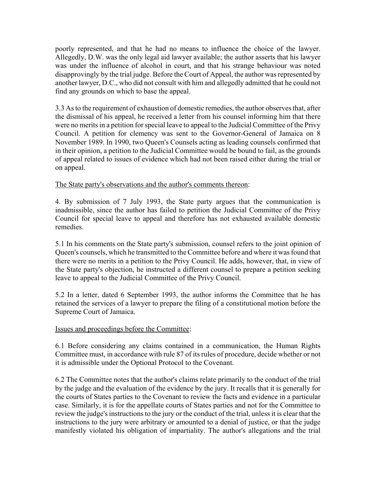poorly represented, and that he had no means to influence the choice of the lawyer. Allegedly, D.W. was the only legal aid lawyer available; the author asserts that his lawyer was under the influence of alcohol in court, and that his strange behaviour was noted disapprovingly by the trial judge. Before the Court of Appeal, the author was represented by another lawyer, D.C., who did not consult with him and allegedly admitted that he could not find any grounds on which to base the appeal.

3.3 As to the requirement of exhaustion of domestic remedies, the author observes that, after the dismissal of his appeal, he received a letter from his counsel informing him that there were no merits in a petition for special leave to appeal to the Judicial Committee of the Privy Council. A petition for clemency was sent to the Governor-General of Jamaica on 8 November 1989. In 1990, two Queen's Counsels acting as leading counsels confirmed that in their opinion, a petition to the Judicial Committee would be bound to fail, as the grounds of appeal related to issues of evidence which had not been raised either during the trial or on appeal.

#### The State party's observations and the author's comments thereon:

4. By submission of 7 July 1993, the State party argues that the communication is inadmissible, since the author has failed to petition the Judicial Committee of the Privy Council for special leave to appeal and therefore has not exhausted available domestic remedies.

5.1 In his comments on the State party's submission, counsel refers to the joint opinion of Queen's counsels, which he transmitted to the Committee before and where it was found that there were no merits in a petition to the Privy Council. He adds, however, that, in view of the State party's objection, he instructed a different counsel to prepare a petition seeking leave to appeal to the Judicial Committee of the Privy Council.

5.2 In a letter, dated 6 September 1993, the author informs the Committee that he has retained the services of a lawyer to prepare the filing of a constitutional motion before the Supreme Court of Jamaica.

#### Issues and proceedings before the Committee:

6.1 Before considering any claims contained in a communication, the Human Rights Committee must, in accordance with rule 87 of its rules of procedure, decide whether or not it is admissible under the Optional Protocol to the Covenant.

6.2 The Committee notes that the author's claims relate primarily to the conduct of the trial by the judge and the evaluation of the evidence by the jury. It recalls that it is generally for the courts of States parties to the Covenant to review the facts and evidence in a particular case. Similarly, it is for the appellate courts of States parties and not for the Committee to review the judge's instructions to the jury or the conduct of the trial, unless it is clear that the instructions to the jury were arbitrary or amounted to a denial of justice, or that the judge manifestly violated his obligation of impartiality. The author's allegations and the trial